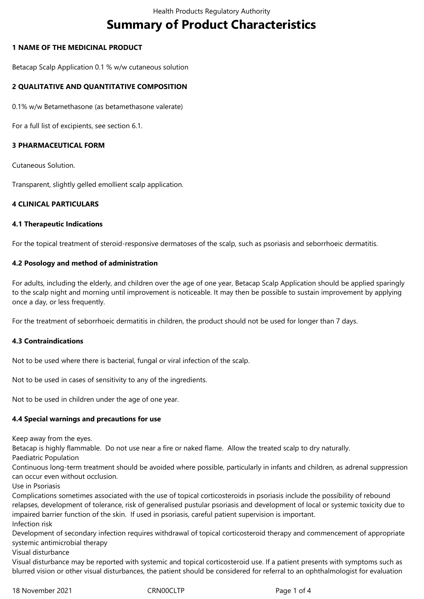# **Summary of Product Characteristics**

## **1 NAME OF THE MEDICINAL PRODUCT**

Betacap Scalp Application 0.1 % w/w cutaneous solution

## **2 QUALITATIVE AND QUANTITATIVE COMPOSITION**

0.1% w/w Betamethasone (as betamethasone valerate)

For a full list of excipients, see section 6.1.

## **3 PHARMACEUTICAL FORM**

Cutaneous Solution.

Transparent, slightly gelled emollient scalp application.

## **4 CLINICAL PARTICULARS**

#### **4.1 Therapeutic Indications**

For the topical treatment of steroid-responsive dermatoses of the scalp, such as psoriasis and seborrhoeic dermatitis.

#### **4.2 Posology and method of administration**

For adults, including the elderly, and children over the age of one year, Betacap Scalp Application should be applied sparingly to the scalp night and morning until improvement is noticeable. It may then be possible to sustain improvement by applying once a day, or less frequently.

For the treatment of seborrhoeic dermatitis in children, the product should not be used for longer than 7 days.

#### **4.3 Contraindications**

Not to be used where there is bacterial, fungal or viral infection of the scalp.

Not to be used in cases of sensitivity to any of the ingredients.

Not to be used in children under the age of one year.

#### **4.4 Special warnings and precautions for use**

Keep away from the eyes.

Betacap is highly flammable. Do not use near a fire or naked flame. Allow the treated scalp to dry naturally.

Paediatric Population

Continuous long-term treatment should be avoided where possible, particularly in infants and children, as adrenal suppression can occur even without occlusion.

Use in Psoriasis

Complications sometimes associated with the use of topical corticosteroids in psoriasis include the possibility of rebound relapses, development of tolerance, risk of generalised pustular psoriasis and development of local or systemic toxicity due to impaired barrier function of the skin. If used in psoriasis, careful patient supervision is important. Infection risk

Development of secondary infection requires withdrawal of topical corticosteroid therapy and commencement of appropriate systemic antimicrobial therapy

Visual disturbance

Visual disturbance may be reported with systemic and topical corticosteroid use. If a patient presents with symptoms such as blurred vision or other visual disturbances, the patient should be considered for referral to an ophthalmologist for evaluation

18 November 2021 **CRNOOCLTP** CRNOOCLTP Page 1 of 4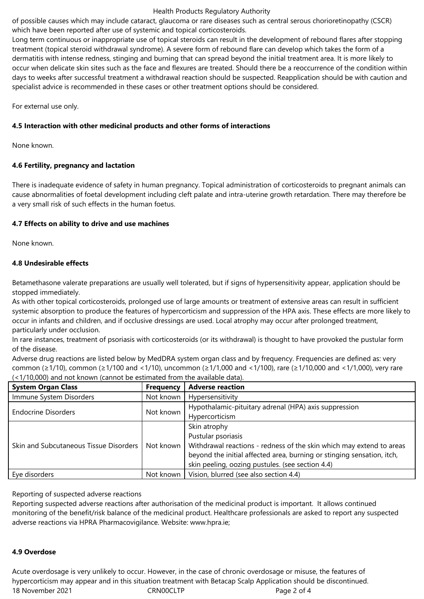#### Health Products Regulatory Authority

of possible causes which may include cataract, glaucoma or rare diseases such as central serous chorioretinopathy (CSCR) which have been reported after use of systemic and topical corticosteroids.

Long term continuous or inappropriate use of topical steroids can result in the development of rebound flares after stopping treatment (topical steroid withdrawal syndrome). A severe form of rebound flare can develop which takes the form of a dermatitis with intense redness, stinging and burning that can spread beyond the initial treatment area. It is more likely to occur when delicate skin sites such as the face and flexures are treated. Should there be a reoccurrence of the condition within days to weeks after successful treatment a withdrawal reaction should be suspected. Reapplication should be with caution and specialist advice is recommended in these cases or other treatment options should be considered.

For external use only.

# **4.5 Interaction with other medicinal products and other forms of interactions**

None known.

# **4.6 Fertility, pregnancy and lactation**

There is inadequate evidence of safety in human pregnancy. Topical administration of corticosteroids to pregnant animals can cause abnormalities of foetal development including cleft palate and intra-uterine growth retardation. There may therefore be a very small risk of such effects in the human foetus.

# **4.7 Effects on ability to drive and use machines**

None known.

# **4.8 Undesirable effects**

Betamethasone valerate preparations are usually well tolerated, but if signs of hypersensitivity appear, application should be stopped immediately.

As with other topical corticosteroids, prolonged use of large amounts or treatment of extensive areas can result in sufficient systemic absorption to produce the features of hypercorticism and suppression of the HPA axis. These effects are more likely to occur in infants and children, and if occlusive dressings are used. Local atrophy may occur after prolonged treatment, particularly under occlusion.

In rare instances, treatment of psoriasis with corticosteroids (or its withdrawal) is thought to have provoked the pustular form of the disease.

Adverse drug reactions are listed below by MedDRA system organ class and by frequency. Frequencies are defined as: very common (≥1/10), common (≥1/100 and <1/10), uncommon (≥1/1,000 and <1/100), rare (≥1/10,000 and <1/1,000), very rare (<1/10,000) and not known (cannot be estimated from the available data).

| <b>System Organ Class</b>              | <b>Frequency</b> | <b>Adverse reaction</b>                                                |
|----------------------------------------|------------------|------------------------------------------------------------------------|
| Immune System Disorders                | Not known        | Hypersensitivity                                                       |
| <b>Endocrine Disorders</b>             | Not known        | Hypothalamic-pituitary adrenal (HPA) axis suppression                  |
|                                        |                  | Hypercorticism                                                         |
| Skin and Subcutaneous Tissue Disorders | Not known        | Skin atrophy                                                           |
|                                        |                  | Pustular psoriasis                                                     |
|                                        |                  | Withdrawal reactions - redness of the skin which may extend to areas   |
|                                        |                  | beyond the initial affected area, burning or stinging sensation, itch, |
|                                        |                  | skin peeling, oozing pustules. (see section 4.4)                       |
| Eye disorders                          | Not known        | Vision, blurred (see also section 4.4)                                 |

Reporting of suspected adverse reactions

Reporting suspected adverse reactions after authorisation of the medicinal product is important. It allows continued monitoring of the benefit/risk balance of the medicinal product. Healthcare professionals are asked to report any suspected adverse reactions via HPRA Pharmacovigilance. Website: www.hpra.ie;

#### **4.9 Overdose**

18 November 2021 **CRNOOCLTP** CRNOOCLTP Page 2 of 4 Acute overdosage is very unlikely to occur. However, in the case of chronic overdosage or misuse, the features of hypercorticism may appear and in this situation treatment with Betacap Scalp Application should be discontinued.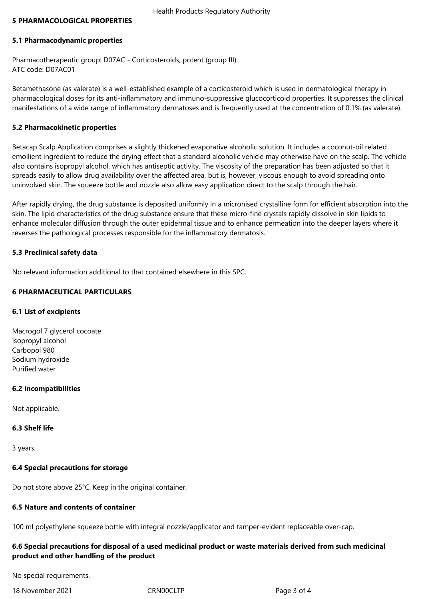#### **5 PHARMACOLOGICAL PROPERTIES**

#### **5.1 Pharmacodynamic properties**

Pharmacotherapeutic group: D07AC - Corticosteroids, potent (group III) ATC code: D07AC01

Betamethasone (as valerate) is a well-established example of a corticosteroid which is used in dermatological therapy in pharmacological doses for its anti-inflammatory and immuno-suppressive glucocorticoid properties. It suppresses the clinical manifestations of a wide range of inflammatory dermatoses and is frequently used at the concentration of 0.1% (as valerate).

#### **5.2 Pharmacokinetic properties**

Betacap Scalp Application comprises a slightly thickened evaporative alcoholic solution. It includes a coconut-oil related emollient ingredient to reduce the drying effect that a standard alcoholic vehicle may otherwise have on the scalp. The vehicle also contains isopropyl alcohol, which has antiseptic activity. The viscosity of the preparation has been adjusted so that it spreads easily to allow drug availability over the affected area, but is, however, viscous enough to avoid spreading onto uninvolved skin. The squeeze bottle and nozzle also allow easy application direct to the scalp through the hair.

After rapidly drying, the drug substance is deposited uniformly in a micronised crystalline form for efficient absorption into the skin. The lipid characteristics of the drug substance ensure that these micro-fine crystals rapidly dissolve in skin lipids to enhance molecular diffusion through the outer epidermal tissue and to enhance permeation into the deeper layers where it reverses the pathological processes responsible for the inflammatory dermatosis.

#### **5.3 Preclinical safety data**

No relevant information additional to that contained elsewhere in this SPC.

#### **6 PHARMACEUTICAL PARTICULARS**

#### **6.1 List of excipients**

Macrogol 7 glycerol cocoate Isopropyl alcohol Carbopol 980 Sodium hydroxide Purified water

#### **6.2 Incompatibilities**

Not applicable.

#### **6.3 Shelf life**

3 years.

#### **6.4 Special precautions for storage**

Do not store above 25°C. Keep in the original container.

#### **6.5 Nature and contents of container**

100 ml polyethylene squeeze bottle with integral nozzle/applicator and tamper-evident replaceable over-cap.

## **6.6 Special precautions for disposal of a used medicinal product or waste materials derived from such medicinal product and other handling of the product**

No special requirements.

18 November 2021 **CRNOOCLTP** CRNOOCLTP Page 3 of 4